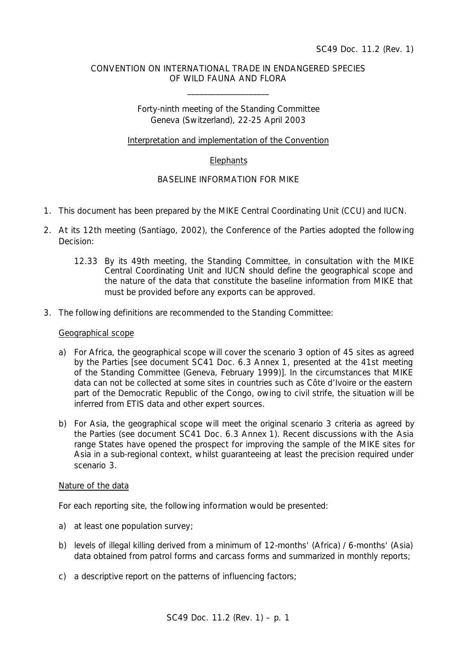# CONVENTION ON INTERNATIONAL TRADE IN ENDANGERED SPECIES OF WILD FAUNA AND FLORA

\_\_\_\_\_\_\_\_\_\_\_\_\_\_\_\_\_\_\_\_

Forty-ninth meeting of the Standing Committee Geneva (Switzerland), 22-25 April 2003

Interpretation and implementation of the Convention

# **Elephants**

# BASELINE INFORMATION FOR MIKE

- 1. This document has been prepared by the MIKE Central Coordinating Unit (CCU) and IUCN.
- 2. At its 12th meeting (Santiago, 2002), the Conference of the Parties adopted the following Decision:
	- *12.33 By its 49th meeting, the Standing Committee, in consultation with the MIKE Central Coordinating Unit and IUCN should define the geographical scope and the nature of the data that constitute the baseline information from MIKE that must be provided before any exports can be approved.*
- 3. The following definitions are recommended to the Standing Committee:

## Geographical scope

- a) For Africa, the geographical scope will cover the scenario 3 option of 45 sites as agreed by the Parties [see document SC41 Doc. 6.3 Annex 1, presented at the 41st meeting of the Standing Committee (Geneva, February 1999)]. In the circumstances that MIKE data can not be collected at some sites in countries such as Côte d'Ivoire or the eastern part of the Democratic Republic of the Congo, owing to civil strife, the situation will be inferred from ETIS data and other expert sources.
- b) For Asia, the geographical scope will meet the original scenario 3 criteria as agreed by the Parties (see document SC41 Doc. 6.3 Annex 1). Recent discussions with the Asia range States have opened the prospect for improving the sample of the MIKE sites for Asia in a sub-regional context, whilst guaranteeing at least the precision required under scenario 3.

## Nature of the data

For each reporting site, the following information would be presented:

- a) at least one population survey;
- b) levels of illegal killing derived from a minimum of 12-months' (Africa) / 6-months' (Asia) data obtained from patrol forms and carcass forms and summarized in monthly reports;
- c) a descriptive report on the patterns of influencing factors;